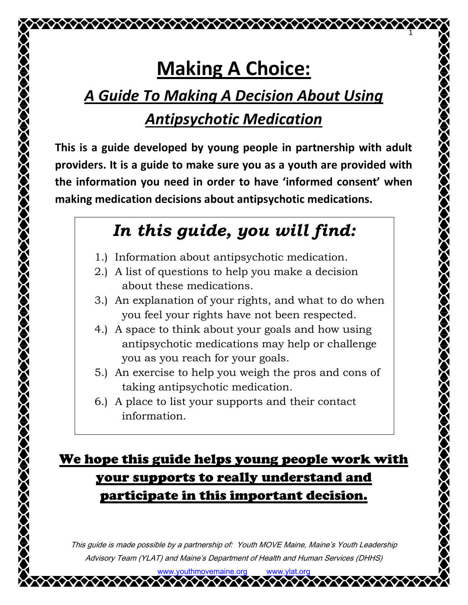# **Making A Choice:**

1

## *A Guide To Making A Decision About Using*

## *Antipsychotic Medication*

**This is a guide developed by young people in partnership with adult providers. It is a guide to make sure you as a youth are provided with the information you need in order to have 'informed consent' when making medication decisions about antipsychotic medications.**

## *In this guide, you will find:*

- 1.) Information about antipsychotic medication.
- 2.) A list of questions to help you make a decision about these medications.
- 3.) An explanation of your rights, and what to do when you feel your rights have not been respected.
- 4.) A space to think about your goals and how using antipsychotic medications may help or challenge you as you reach for your goals.
- 5.) An exercise to help you weigh the pros and cons of taking antipsychotic medication.
- 6.) A place to list your supports and their contact information.

### We hope this guide helps young people work with your supports to really understand and participate in this important decision.

This guide is made possible by a partnership of: Youth MOVE Maine, Maine's Youth Leadership Advisory Team (YLAT) <sup>a</sup>nd Maine's Department of Health and Human Services (DHHS)

www.youthmovemaine.org www.ylat.org

**AAAAAAAAAAAAAAAA**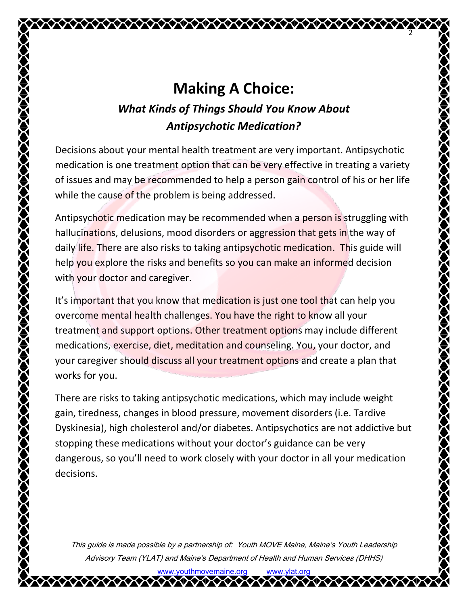2

## **Making A Choice:**

#### *What Kinds of Things Should You Know About Antipsychotic Medication?*

Decisions about your mental health treatment are very important. Antipsychotic medication is one treatment option that can be very effective in treating a variety of issues and may be recommended to help a person gain control of his or her life while the cause of the problem is being addressed.

Antipsychotic medication may be recommended when a person is struggling with hallucinations, delusions, mood disorders or aggression that gets in the way of daily life. There are also risks to taking antipsychotic medication. This guide will help you explore the risks and benefits so you can make an informed decision with your doctor and caregiver.

It's important that you know that medication is just one tool that can help you overcome mental health challenges. You have the right to know all your treatment and support options. Other treatment options may include different medications, exercise, diet, meditation and counseling. You, your doctor, and your caregiver should discuss all your treatment options and create a plan that works for you.

There are risks to taking antipsychotic medications, which may include weight gain, tiredness, changes in blood pressure, movement disorders (i.e. Tardive Dyskinesia), high cholesterol and/or diabetes. Antipsychotics are not addictive but stopping these medications without your doctor's guidance can be very dangerous, so you'll need to work closely with your doctor in all your medication decisions.

This guide is made possible by a partnership of: Youth MOVE Maine, Maine's Youth Leadership Advisory Team (YLAT) <sup>a</sup>nd Maine's Department of Health and Human Services (DHHS)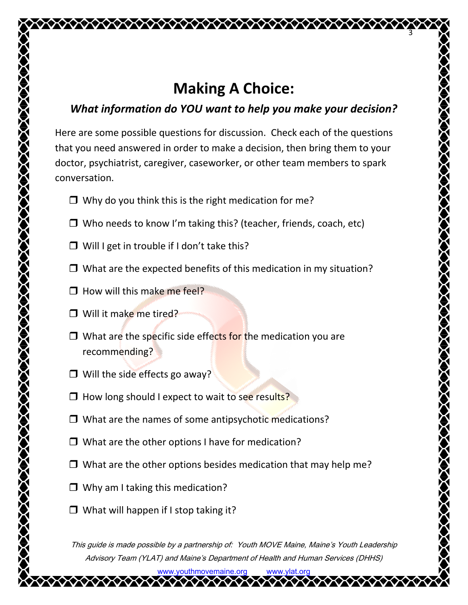## **Making A Choice:**

3

#### *What information do YOU want to help you make your decision?*

Here are some possible questions for discussion. Check each of the questions that you need answered in order to make a decision, then bring them to your doctor, psychiatrist, caregiver, caseworker, or other team members to spark conversation.

- $\Box$  Why do you think this is the right medication for me?
- $\Box$  Who needs to know I'm taking this? (teacher, friends, coach, etc)
- $\Box$  Will I get in trouble if I don't take this?
- $\Box$  What are the expected benefits of this medication in my situation?
- $\Box$  How will this make me feel?
- □ Will it make me tired?
- $\Box$  What are the specific side effects for the medication you are recommending?
- $\Box$  Will the side effects go away?
- $\Box$  How long should I expect to wait to see results?
- $\Box$  What are the names of some antipsychotic medications?
- $\Box$  What are the other options I have for medication?
- $\Box$  What are the other options besides medication that may help me?
- $\Box$  Why am I taking this medication?
- $\Box$  What will happen if I stop taking it?

This guide is made possible by a partnership of: Youth MOVE Maine, Maine's Youth Leadership Advisory Team (YLAT) <sup>a</sup>nd Maine's Department of Health and Human Services (DHHS)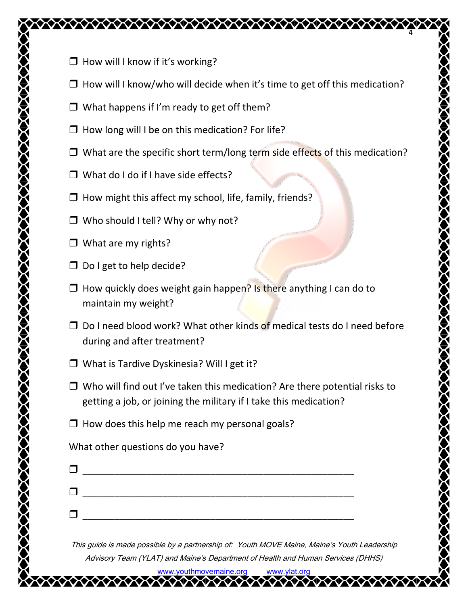- $\Box$  How will I know if it's working?
- $\Box$  How will I know/who will decide when it's time to get off this medication?

4

- $\Box$  What happens if I'm ready to get off them?
- $\Box$  How long will I be on this medication? For life?
- $\Box$  What are the specific short term/long term side effects of this medication?
- $\Box$  What do I do if I have side effects?
- $\Box$  How might this affect my school, life, family, friends?
- $\Box$  Who should I tell? Why or why not?
- $\Box$  What are my rights?
- $\Box$  Do I get to help decide?
- $\Box$  How quickly does weight gain happen? Is there anything I can do to maintain my weight?
- $\Box$  Do I need blood work? What other kinds of medical tests do I need before during and after treatment?
- □ What is Tardive Dyskinesia? Will I get it?
- $\Box$  Who will find out I've taken this medication? Are there potential risks to getting a job, or joining the military if I take this medication?
- $\Box$  How does this help me reach my personal goals?

What other questions do you have?

| П |  |
|---|--|
|   |  |
| П |  |
|   |  |

This guide is made possible by a partnership of: Youth MOVE Maine, Maine's Youth Leadership Advisory Team (YLAT) <sup>a</sup>nd Maine's Department of Health and Human Services (DHHS)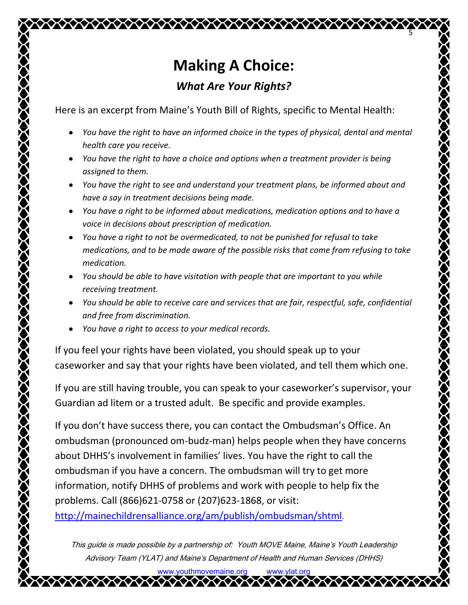## **Making A Choice:** *What Are Your Rights?*

5

Here is an excerpt from Maine's Youth Bill of Rights, specific to Mental Health:

- *You have the right to have an informed choice in the types of physical, dental and mental health care you receive.*
- *You have the right to have a choice and options when a treatment provider is being assigned to them.*
- *You have the right to see and understand your treatment plans, be informed about and have a say in treatment decisions being made.*
- *You have a right to be informed about medications, medication options and to have a voice in decisions about prescription of medication.*
- *You have a right to not be overmedicated, to not be punished for refusal to take medications, and to be made aware of the possible risks that come from refusing to take medication.*
- *You should be able to have visitation with people that are important to you while receiving treatment.*
- *You should be able to receive care and services that are fair, respectful, safe, confidential and free from discrimination.*
- *You have a right to access to your medical records.*  $\bullet$

If you feel your rights have been violated, you should speak up to your caseworker and say that your rights have been violated, and tell them which one.

If you are still having trouble, you can speak to your caseworker's supervisor, your Guardian ad litem or a trusted adult. Be specific and provide examples.

If you don't have success there, you can contact the Ombudsman's Office. An ombudsman (pronounced om-budz-man) helps people when they have concerns about DHHS's involvement in families' lives. You have the right to call the ombudsman if you have a concern. The ombudsman will try to get more information, notify DHHS of problems and work with people to help fix the problems. Call (866)621-0758 or (207)623-1868, or visit:

<http://mainechildrensalliance.org/am/publish/ombudsman/shtml>.

This guide is made possible by a partnership of: Youth MOVE Maine, Maine's Youth Leadership Advisory Team (YLAT) <sup>a</sup>nd Maine's Department of Health and Human Services (DHHS)

> www.youthmovemaine.org www.ylat.org **AAAAAAAAAAAAAAAAAAAAA**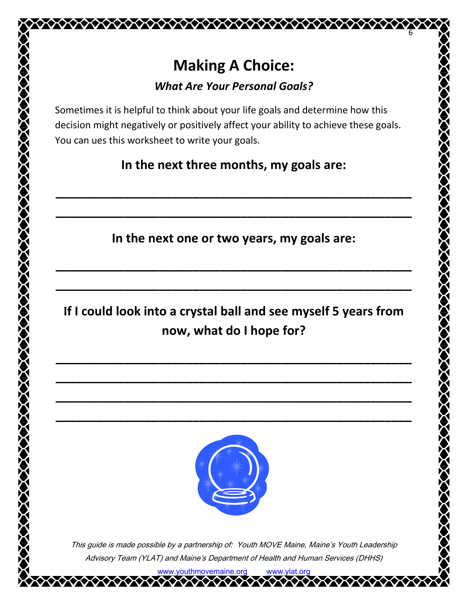

#### *What Are Your Personal Goals?*

Sometimes it is helpful to think about your life goals and determine how this decision might negatively or positively affect your ability to achieve these goals. You can ues this worksheet to write your goals.

**In the next three months, my goals are:**

**\_\_\_\_\_\_\_\_\_\_\_\_\_\_\_\_\_\_\_\_\_\_\_\_\_\_\_\_\_\_\_\_\_\_\_\_\_\_\_\_\_\_\_\_\_\_\_\_\_\_\_\_**

**\_\_\_\_\_\_\_\_\_\_\_\_\_\_\_\_\_\_\_\_\_\_\_\_\_\_\_\_\_\_\_\_\_\_\_\_\_\_\_\_\_\_\_\_\_\_\_\_\_\_\_\_**

**In the next one or two years, my goals are:**

**\_\_\_\_\_\_\_\_\_\_\_\_\_\_\_\_\_\_\_\_\_\_\_\_\_\_\_\_\_\_\_\_\_\_\_\_\_\_\_\_\_\_\_\_\_\_\_\_\_\_\_\_**

**\_\_\_\_\_\_\_\_\_\_\_\_\_\_\_\_\_\_\_\_\_\_\_\_\_\_\_\_\_\_\_\_\_\_\_\_\_\_\_\_\_\_\_\_\_\_\_\_\_\_\_\_**

**If I could look into a crystal ball and see myself 5 years from now, what do I hope for?**

**\_\_\_\_\_\_\_\_\_\_\_\_\_\_\_\_\_\_\_\_\_\_\_\_\_\_\_\_\_\_\_\_\_\_\_\_\_\_\_\_\_\_\_\_\_\_\_\_\_\_\_\_**

**\_\_\_\_\_\_\_\_\_\_\_\_\_\_\_\_\_\_\_\_\_\_\_\_\_\_\_\_\_\_\_\_\_\_\_\_\_\_\_\_\_\_\_\_\_\_\_\_\_\_\_\_**

**\_\_\_\_\_\_\_\_\_\_\_\_\_\_\_\_\_\_\_\_\_\_\_\_\_\_\_\_\_\_\_\_\_\_\_\_\_\_\_\_\_\_\_\_\_\_\_\_\_\_\_\_**

**\_\_\_\_\_\_\_\_\_\_\_\_\_\_\_\_\_\_\_\_\_\_\_\_\_\_\_\_\_\_\_\_\_\_\_\_\_\_\_\_\_\_\_\_\_\_\_\_\_\_\_\_**



This guide is made possible by a partnership of: Youth MOVE Maine, Maine's Youth Leadership Advisory Team (YLAT) <sup>a</sup>nd Maine's Department of Health and Human Services (DHHS)

> www.youthmovemaine.org www.ylat.org <u>VAXAXAXXXXXXXXXXXX</u>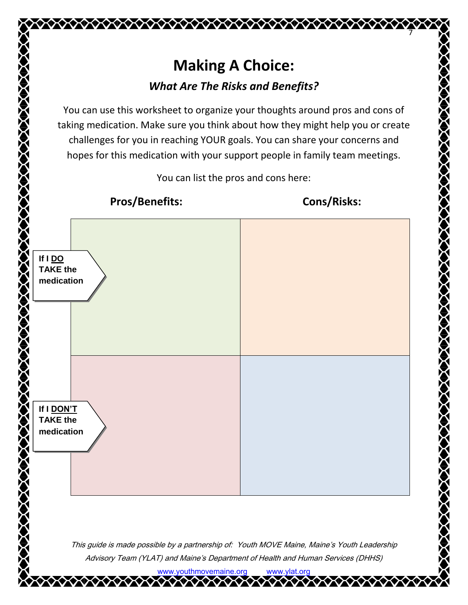